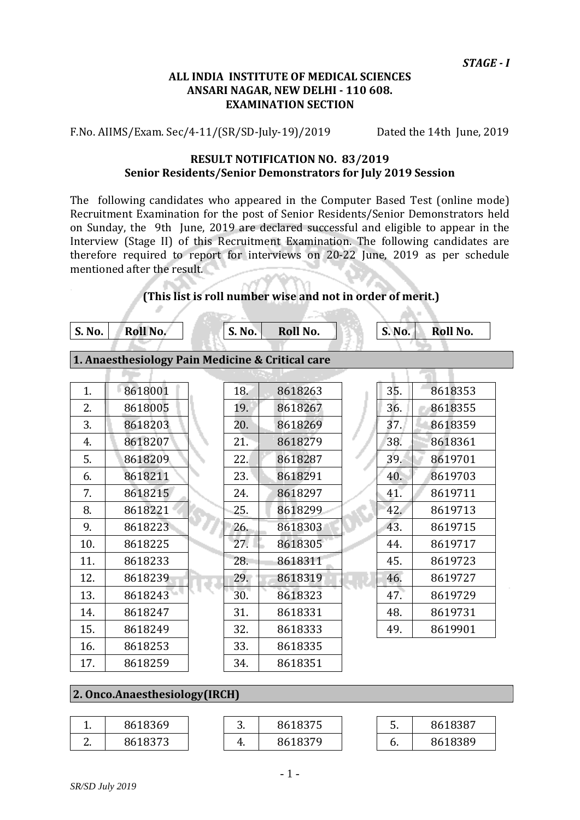#### **ALL INDIA INSTITUTE OF MEDICAL SCIENCES ANSARI NAGAR, NEW DELHI - 110 608. EXAMINATION SECTION**

F.No. AIIMS/Exam. Sec/4-11/(SR/SD-July-19)/2019 Dated the 14th June, 2019

#### **RESULT NOTIFICATION NO. 83/2019 Senior Residents/Senior Demonstrators for July 2019 Session**

The following candidates who appeared in the Computer Based Test (online mode) Recruitment Examination for the post of Senior Residents/Senior Demonstrators held on Sunday, the 9th June, 2019 are declared successful and eligible to appear in the Interview (Stage II) of this Recruitment Examination. The following candidates are therefore required to report for interviews on 20-22 June, 2019 as per schedule mentioned after the result.

#### **(This list is roll number wise and not in order of merit.)**

**S. No. Roll No. S. No. Roll No. S. No. Roll No.**

A

H.

#### **1. Anaesthesiology Pain Medicine & Critical care**

| 35.<br>8618001<br>1.<br>18.<br>8618353<br>8618263<br>2.<br>8618005<br>19.<br>8618267<br>36.<br>8618355<br>37.<br>3.<br>8618203<br>20.<br>8618269<br>8618359<br>38.<br>8618207<br>21.<br>8618361<br>8618279<br>4.<br>5.<br>39.<br>8618209<br>22.<br>8618287<br>8619701<br>8618211<br>23.<br>8618291<br>40.<br>8619703<br>6.<br>8618215<br>8618297<br>8619711<br>24.<br>41.<br>7.<br>8618221<br>25.<br>8618299<br>42.<br>8619713<br>8.<br>43.<br>8618223<br>26.<br>8618303<br>8619715<br>9.<br>27.<br>10.<br>8618225<br>8618305<br>8619717<br>44.<br>8618233<br>28.<br>8618311<br>45.<br>8619723<br>11.<br>12.<br>8618239<br>29.<br>8618319<br>46.<br>8619727<br>13.<br>8618243<br>8618323<br>47.<br>8619729<br>30.<br>8618247<br>8618331<br>8619731<br>31.<br>48.<br>14.<br>15.<br>8618249<br>32.<br>8618333<br>8619901<br>49.<br>8618253<br>33.<br>8618335<br>16.<br>17.<br>8618259<br>34.<br>8618351 |  |  |  |  |
|-------------------------------------------------------------------------------------------------------------------------------------------------------------------------------------------------------------------------------------------------------------------------------------------------------------------------------------------------------------------------------------------------------------------------------------------------------------------------------------------------------------------------------------------------------------------------------------------------------------------------------------------------------------------------------------------------------------------------------------------------------------------------------------------------------------------------------------------------------------------------------------------------------|--|--|--|--|
|                                                                                                                                                                                                                                                                                                                                                                                                                                                                                                                                                                                                                                                                                                                                                                                                                                                                                                       |  |  |  |  |
|                                                                                                                                                                                                                                                                                                                                                                                                                                                                                                                                                                                                                                                                                                                                                                                                                                                                                                       |  |  |  |  |
|                                                                                                                                                                                                                                                                                                                                                                                                                                                                                                                                                                                                                                                                                                                                                                                                                                                                                                       |  |  |  |  |
|                                                                                                                                                                                                                                                                                                                                                                                                                                                                                                                                                                                                                                                                                                                                                                                                                                                                                                       |  |  |  |  |
|                                                                                                                                                                                                                                                                                                                                                                                                                                                                                                                                                                                                                                                                                                                                                                                                                                                                                                       |  |  |  |  |
|                                                                                                                                                                                                                                                                                                                                                                                                                                                                                                                                                                                                                                                                                                                                                                                                                                                                                                       |  |  |  |  |
|                                                                                                                                                                                                                                                                                                                                                                                                                                                                                                                                                                                                                                                                                                                                                                                                                                                                                                       |  |  |  |  |
|                                                                                                                                                                                                                                                                                                                                                                                                                                                                                                                                                                                                                                                                                                                                                                                                                                                                                                       |  |  |  |  |
|                                                                                                                                                                                                                                                                                                                                                                                                                                                                                                                                                                                                                                                                                                                                                                                                                                                                                                       |  |  |  |  |
|                                                                                                                                                                                                                                                                                                                                                                                                                                                                                                                                                                                                                                                                                                                                                                                                                                                                                                       |  |  |  |  |
|                                                                                                                                                                                                                                                                                                                                                                                                                                                                                                                                                                                                                                                                                                                                                                                                                                                                                                       |  |  |  |  |
|                                                                                                                                                                                                                                                                                                                                                                                                                                                                                                                                                                                                                                                                                                                                                                                                                                                                                                       |  |  |  |  |
|                                                                                                                                                                                                                                                                                                                                                                                                                                                                                                                                                                                                                                                                                                                                                                                                                                                                                                       |  |  |  |  |
|                                                                                                                                                                                                                                                                                                                                                                                                                                                                                                                                                                                                                                                                                                                                                                                                                                                                                                       |  |  |  |  |
|                                                                                                                                                                                                                                                                                                                                                                                                                                                                                                                                                                                                                                                                                                                                                                                                                                                                                                       |  |  |  |  |
|                                                                                                                                                                                                                                                                                                                                                                                                                                                                                                                                                                                                                                                                                                                                                                                                                                                                                                       |  |  |  |  |
|                                                                                                                                                                                                                                                                                                                                                                                                                                                                                                                                                                                                                                                                                                                                                                                                                                                                                                       |  |  |  |  |

#### **2. Onco.Anaesthesiology(IRCH)**

| . . | 8618369 | J.  | 8618375 | ້. | 8618387 |
|-----|---------|-----|---------|----|---------|
|     | 8618373 | . . | 8618379 | v. | 8618389 |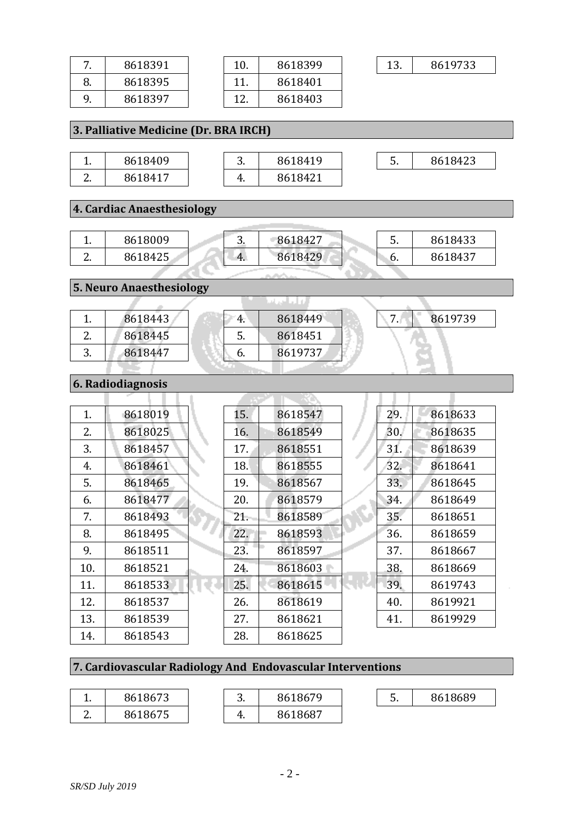| 7. | 8618391                               | 10. | 8618399  | 13.<br>8619733 |
|----|---------------------------------------|-----|----------|----------------|
| 8. | 8618395                               | 11. | 8618401  |                |
| 9. | 8618397                               | 12. | 8618403  |                |
|    |                                       |     |          |                |
|    | 3. Palliative Medicine (Dr. BRA IRCH) |     |          |                |
|    |                                       |     |          |                |
| 1. | 8618409                               | 3.  | 8618419  | 5.<br>8618423  |
| 2. | 8618417                               | 4.  | 8618421  |                |
|    |                                       |     |          |                |
|    | 4. Cardiac Anaesthesiology            |     |          |                |
|    |                                       |     |          |                |
| 1. | 8618009                               | 3.  | 8618427  | 5.<br>8618433  |
| 2. | 8618425                               | 4.  | 8618429  | 8618437<br>6.  |
|    |                                       |     |          |                |
|    | <b>5. Neuro Anaesthesiology</b>       |     |          |                |
|    |                                       |     | فالطعناء |                |
| 1. | 8618443                               | 4.  | 8618449  | 7.1<br>8619739 |
| 2. | 8618445                               | 5.  | 8618451  |                |
| 3. | 8618447                               | 6.  | 8619737  |                |
|    |                                       |     |          |                |
|    | 6. Radiodiagnosis                     |     |          |                |
|    |                                       |     |          |                |
| 1. | 8618019                               | 15. | 8618547  | 29.<br>8618633 |
| 2. | 8618025                               | 16. | 8618549  | 30.<br>8618635 |
| 3. | 8618457                               | 17. | 8618551  | 31.<br>8618639 |
| 4. | 8618461                               | 18. | 8618555  | 32.<br>8618641 |
| 5. | 8618465                               | 19. | 8618567  | 33.<br>8618645 |

| 1.  | 8618019 | 15. | 8618547 | 29. | 8618633 |
|-----|---------|-----|---------|-----|---------|
| 2.  | 8618025 | 16. | 8618549 | 30. | 8618635 |
| 3.  | 8618457 | 17. | 8618551 | 31. | 8618639 |
| 4.  | 8618461 | 18. | 8618555 | 32. | 8618641 |
| 5.  | 8618465 | 19. | 8618567 | 33. | 8618645 |
| 6.  | 8618477 | 20. | 8618579 | 34. | 8618649 |
| 7.  | 8618493 | 21. | 8618589 | 35. | 8618651 |
| 8.  | 8618495 | 22. | 8618593 | 36. | 8618659 |
| 9.  | 8618511 | 23. | 8618597 | 37. | 8618667 |
| 10. | 8618521 | 24. | 8618603 | 38. | 8618669 |
| 11. | 8618533 | 25. | 8618615 | 39. | 8619743 |
| 12. | 8618537 | 26. | 8618619 | 40. | 8619921 |
| 13. | 8618539 | 27. | 8618621 | 41. | 8619929 |
| 14. | 8618543 | 28. | 8618625 |     |         |

# **7. Cardiovascular Radiology And Endovascular Interventions**

| . .      | 8618673 | ∽<br>J. | '8679<br>861 | -<br><u>.</u> | 8618689 |
|----------|---------|---------|--------------|---------------|---------|
| <u>.</u> | 8618675 | . .     | 8618687      |               |         |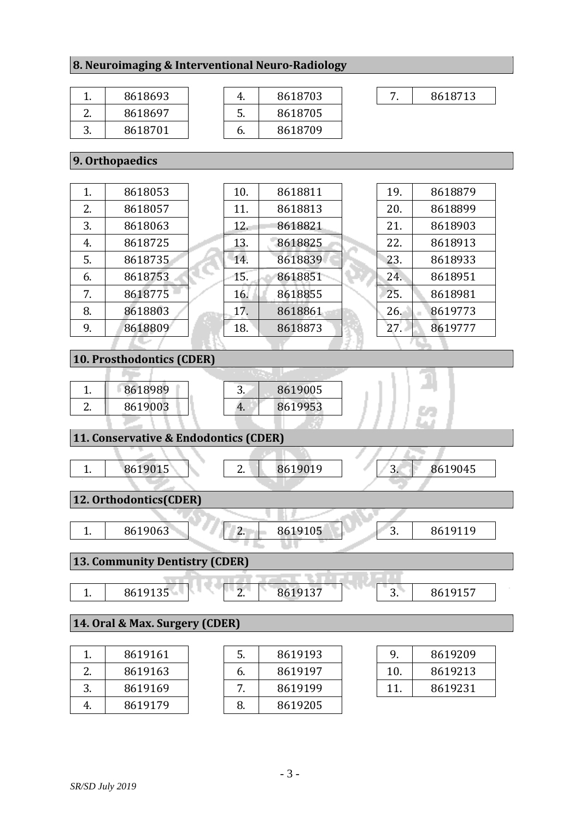#### **8. Neuroimaging & Interventional Neuro-Radiology**

|          | 8618693 |
|----------|---------|
| $\prime$ | 8618697 |
| 3        | 8618701 |

|    | 8618703 |
|----|---------|
| 5. | 8618705 |
| h. | 8618709 |

7. 8618713

### **9. Orthopaedics**

| 1. | 8618053 | 10. | 8618811 | 19. | 8618879 |
|----|---------|-----|---------|-----|---------|
| 2. | 8618057 | 11. | 8618813 | 20. | 8618899 |
| 3. | 8618063 | 12. | 8618821 | 21. | 8618903 |
| 4. | 8618725 | 13. | 8618825 | 22. | 8618913 |
| 5. | 8618735 | 14. | 8618839 | 23. | 8618933 |
| 6. | 8618753 | 15. | 8618851 | 24. | 8618951 |
| 7. | 8618775 | 16. | 8618855 | 25. | 8618981 |
| 8. | 8618803 | 17. | 8618861 | 26. | 8619773 |
| 9. | 8618809 | 18. | 8618873 | 27. | 8619777 |
|    |         |     |         |     |         |

#### **10. Prosthodontics (CDER)**

| <b>. .</b> | 8618989 | ັ  | 8619005 |  |
|------------|---------|----|---------|--|
| <u>.</u>   | 8619003 | 4. | 8619953 |  |

#### **11. Conservative & Endodontics (CDER)**

|                                | 8619015                | 8619019<br>8619045<br>3. |  |  |  |  |
|--------------------------------|------------------------|--------------------------|--|--|--|--|
|                                | 12. Orthodontics(CDER) |                          |  |  |  |  |
|                                |                        |                          |  |  |  |  |
|                                | 8619063                | 8619105<br>8619119<br>3. |  |  |  |  |
|                                |                        |                          |  |  |  |  |
| 13. Community Dentistry (CDER) |                        |                          |  |  |  |  |
|                                |                        | ______                   |  |  |  |  |

| $\sim$ $\sim$<br>$\sim$<br>861<br>чn<br>∽<br>⊥ບບ∶<br><u>.</u><br><b>. .</b><br>UU | $- -$<br>$\sim$<br><b>.</b><br>1 J J<br>J.<br>, س |
|-----------------------------------------------------------------------------------|---------------------------------------------------|

#### **14. Oral & Max. Surgery (CDER)**

|    | 8619161 | 5. | 8619193 |
|----|---------|----|---------|
| 2. | 8619163 | 6. | 8619197 |
| 3. | 8619169 |    | 8619199 |
|    | 8619179 | 8. | 8619205 |

| 9   | 8619209 |
|-----|---------|
| 10. | 8619213 |
| 11  | 8619231 |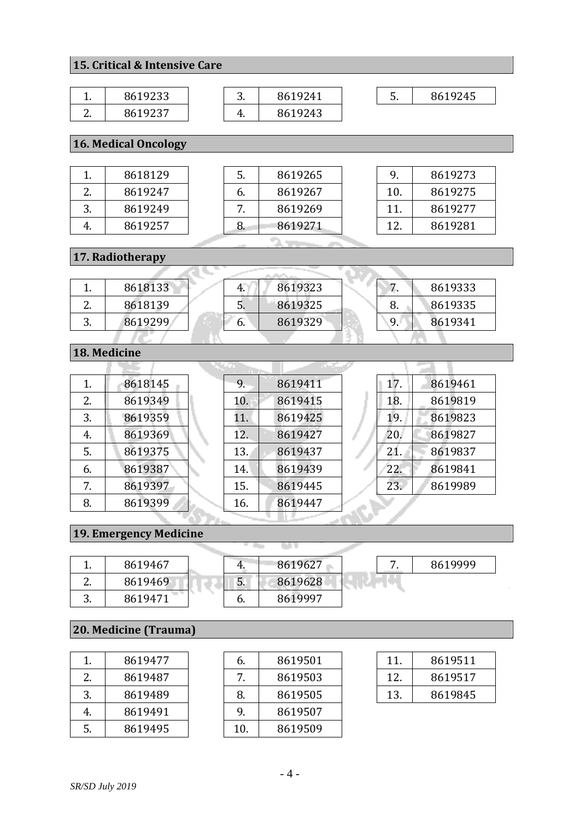### **15. Critical & Intensive Care**

| . .           | 8619233 | ∽<br>J. | 8619241 | -<br><u>.</u> | 8619245 |
|---------------|---------|---------|---------|---------------|---------|
| ⌒<br><u>.</u> | 8619237 | 4.      | 8619243 |               |         |

### **16. Medical Oncology**

| 8618129 |
|---------|
| 8619247 |
| 8619249 |
| 8619257 |
|         |

| 5. | 8619265 |
|----|---------|
| 6. | 8619267 |
|    | 8619269 |
| 8  | 8619271 |

| 9   | 8619273 |
|-----|---------|
| 10. | 8619275 |
| 11. | 8619277 |
| 12. | 8619281 |

### **17. Radiotherapy**

|          | 8618133 |              | 8619323 |    | 8619333 |
|----------|---------|--------------|---------|----|---------|
| <u>.</u> | 8618139 | J.           | 8619325 | ο. | 8619335 |
| ິ.       | 8619299 | $\mathbf{b}$ | 8619329 | 9. | 8619341 |
|          |         |              |         |    |         |

**SAMPLE** 

i<br>Personali

### **18. Medicine**

| 8618145 |  |
|---------|--|
| 8619349 |  |
| 8619359 |  |
| 8619369 |  |
| 8619375 |  |
| 8619387 |  |
| 8619397 |  |
| 8619399 |  |
|         |  |

| 9.  | 8619411 |
|-----|---------|
| 10. | 8619415 |
| 11. | 8619425 |
| 12. | 8619427 |
| 13. | 8619437 |
| 14. | 8619439 |
| 15. | 8619445 |
| 16. | 8619447 |
|     |         |

| 17. | 8619461 |
|-----|---------|
| 18. | 8619819 |
| 19. | 8619823 |
| 20. | 8619827 |
| 21. | 8619837 |
| 22. | 8619841 |
| 23. | 8619989 |
|     |         |

### **19. Emergency Medicine**

| . .           | 8619467 |    | 8619627 |  | 8619999 |
|---------------|---------|----|---------|--|---------|
| ⌒<br><u>.</u> | 8619469 | 5. | 8619628 |  |         |
| ⌒             | 8619471 | O. | 8619997 |  |         |

### **20. Medicine (Trauma)**

| 1. | 8619477 |
|----|---------|
| 2. | 8619487 |
| 3. | 8619489 |
| 4. | 8619491 |
| 5. | 8619495 |

| 6.             | 8619501 |
|----------------|---------|
| 7 <sub>1</sub> | 8619503 |
| 8.             | 8619505 |
| 9.             | 8619507 |
| 10.            | 8619509 |

| 11. | 8619511 |
|-----|---------|
| 12. | 8619517 |
| 13. | 8619845 |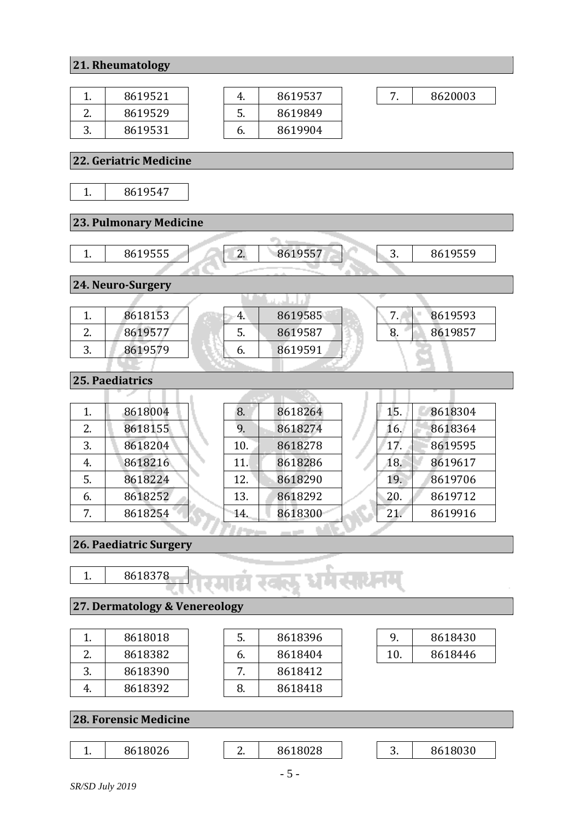#### **21. Rheumatology**

| 8619521 |
|---------|
| 8619529 |
| 8619531 |

|     | 8619537 |
|-----|---------|
| .5. | 8619849 |
| h.  | 8619904 |

7. 8620003

#### **22. Geriatric Medicine** 1. 8619547 **23. Pulmonary Medicine** 1. 8619555 2. 8619557 3. 8619559 **24. Neuro-Surgery** التلطين 1. 8618153 4. 8619585 7. 8619593 2. 8619577 5. 8619587 8. 8619857 6. 8619591 3. 8619579 **25. Paediatrics** - 93 15. 8618304 1. 8618004 8. 8618264 2. 8618155 9. 8618274 16. 8618364 3. 8618204 10. 8618278 17. 8619595 4. 8618216 11. 8618286 18. 8619617 5. 8618224 12. 8618290 19. 8619706 6. 8618252 13. 8618292 20. 8619712 7. 8618254 14. 8618300 21. 8619916

**26. Paediatric Surgery**



#### **27. Dermatology & Venereology**

|   | 8618018 |
|---|---------|
|   | 8618382 |
| 3 | 8618390 |
|   | 8618392 |

| 5. | 8618396 |
|----|---------|
| 6. | 8618404 |
|    | 8618412 |
| x  | 8618418 |

|    | 8618430 |
|----|---------|
| 10 | 8618446 |

#### **28. Forensic Medicine**

#### 1. 8618026 2. 8618028 3. 8618030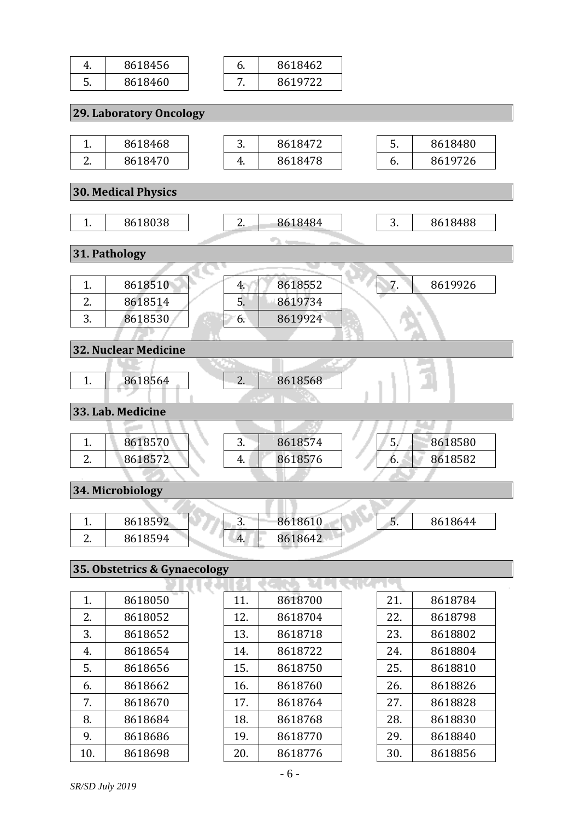| 4. | 8618456                      | 6.  | 8618462 |     |         |  |
|----|------------------------------|-----|---------|-----|---------|--|
| 5. | 8618460                      | 7.  | 8619722 |     |         |  |
|    |                              |     |         |     |         |  |
|    | 29. Laboratory Oncology      |     |         |     |         |  |
|    |                              |     |         |     |         |  |
| 1. | 8618468                      | 3.  | 8618472 | 5.  | 8618480 |  |
| 2. | 8618470                      | 4.  | 8618478 | 6.  | 8619726 |  |
|    |                              |     |         |     |         |  |
|    | <b>30. Medical Physics</b>   |     |         |     |         |  |
| 1. | 8618038                      | 2.  | 8618484 | 3.  | 8618488 |  |
|    |                              |     |         |     |         |  |
|    | 31. Pathology                |     |         |     |         |  |
|    |                              |     |         |     |         |  |
| 1. | 8618510                      | 4.  | 8618552 | 7.  | 8619926 |  |
| 2. | 8618514                      | 5.  | 8619734 |     |         |  |
| 3. | 8618530                      | 6.  | 8619924 |     |         |  |
|    |                              |     |         |     |         |  |
|    | <b>32. Nuclear Medicine</b>  |     |         |     |         |  |
|    |                              |     |         |     |         |  |
| 1. | 8618564                      | 2.  | 8618568 |     |         |  |
|    | 33. Lab. Medicine            |     |         |     |         |  |
|    |                              |     |         |     |         |  |
| 1. | 8618570                      | 3.  | 8618574 | 5.  | 8618580 |  |
| 2. | 8618572                      | 4.  | 8618576 | 6.  | 8618582 |  |
|    |                              |     |         |     |         |  |
|    | 34. Microbiology             |     |         |     |         |  |
|    |                              |     |         |     |         |  |
| 1. | 8618592                      | 3.  | 8618610 | 5.  | 8618644 |  |
| 2. | 8618594                      | 4.  | 8618642 |     |         |  |
|    |                              |     |         |     |         |  |
|    | 35. Obstetrics & Gynaecology |     |         |     |         |  |
|    |                              |     |         |     |         |  |
| 1. | 8618050                      | 11. | 8618700 | 21. | 8618784 |  |
| 2. | 8618052                      | 12. | 8618704 | 22. | 8618798 |  |
| 3. | 8618652                      | 13. | 8618718 | 23. | 8618802 |  |
| 4. | 8618654                      | 14. | 8618722 | 24. | 8618804 |  |
| 5. | 8618656                      | 15. | 8618750 | 25. | 8618810 |  |
| 6. | 8618662                      | 16. | 8618760 | 26. | 8618826 |  |
| 7. | 8618670                      | 17. | 8618764 | 27. | 8618828 |  |

8. 8618684

9. 8618686<br>10. 8618698

8618698

20. 8618776

28. 8618830

29. 8618840<br>30. 8618856

8618856

18. 8618768

19. 8618770<br>20. 8618776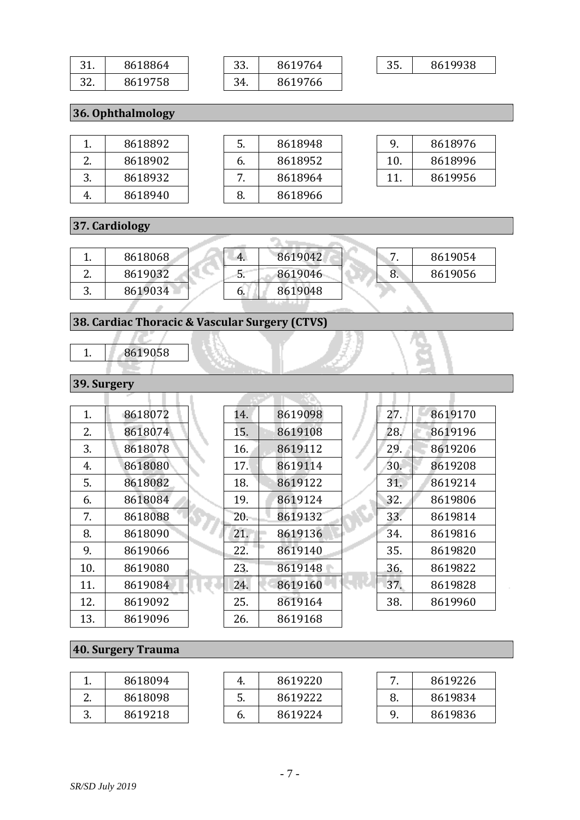| -32 | 8618864 |
|-----|---------|
| 32. | 8619758 |

| 33. | 8619764 |
|-----|---------|
|     | 8619766 |

35. 8619938

**36. Ophthalmology**

| 8618892 | 5.            | 8618948 |
|---------|---------------|---------|
| 8618902 | $\mathbf b$ . | 8618952 |
| 8618932 |               | 8618964 |
| 8618940 | -8.           | 8618966 |

| 9   | 8618976 |
|-----|---------|
| 10. | 8618996 |
| 11  | 8619956 |

### **37. Cardiology**

|               | 8618068 | 4. | 8619042 |    | 8619054 |
|---------------|---------|----|---------|----|---------|
| ⌒<br><u>.</u> | 8619032 | J. | 8619046 | о. | 8619056 |
| ັ             | 8619034 |    | 8619048 |    |         |

÷.

## **38. Cardiac Thoracic & Vascular Surgery (CTVS)**

1. 8619058

### **39. Surgery**

| 1.  | 8618072 | 14. | 8619098 | 27. | 8619170 |
|-----|---------|-----|---------|-----|---------|
| 2.  | 8618074 | 15. | 8619108 | 28. | 8619196 |
| 3.  | 8618078 | 16. | 8619112 | 29. | 8619206 |
| 4.  | 8618080 | 17. | 8619114 | 30. | 8619208 |
| 5.  | 8618082 | 18. | 8619122 | 31. | 8619214 |
| 6.  | 8618084 | 19. | 8619124 | 32. | 8619806 |
| 7.  | 8618088 | 20. | 8619132 | 33. | 8619814 |
| 8.  | 8618090 | 21. | 8619136 | 34. | 8619816 |
| 9.  | 8619066 | 22. | 8619140 | 35. | 8619820 |
| 10. | 8619080 | 23. | 8619148 | 36. | 8619822 |
| 11. | 8619084 | 24. | 8619160 | 37. | 8619828 |
| 12. | 8619092 | 25. | 8619164 | 38. | 8619960 |
| 13. | 8619096 | 26. | 8619168 |     |         |

### **40. Surgery Trauma**

| . .              | 8618094 | ч. | 8619220 | -  | 8619226 |
|------------------|---------|----|---------|----|---------|
| c<br><u>.</u>    | 8618098 | J. | 8619222 | 8. | 8619834 |
| $\sqrt{2}$<br>ຸ, | 8619218 | o. | 8619224 |    | 8619836 |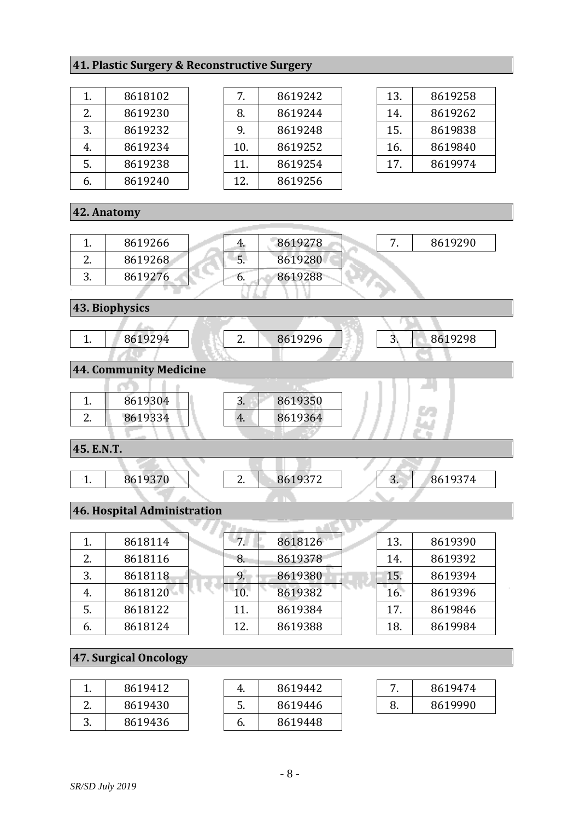### **41. Plastic Surgery & Reconstructive Surgery**

| 1.  | 8618102 |
|-----|---------|
| 2.5 | 8619230 |
| 3.  | 8619232 |
| 4.  | 8619234 |
| 5.  | 8619238 |
| 6.  | 8619240 |

| 7.  | 8619242 |
|-----|---------|
| 8.  | 8619244 |
| 9.  | 8619248 |
| 10. | 8619252 |
| 11. | 8619254 |
| 12. | 8619256 |
|     |         |

| 13. | 8619258 |
|-----|---------|
| 14. | 8619262 |
| 15. | 8619838 |
| 16. | 8619840 |
| 17. | 8619974 |

### **42. Anatomy**

|          | 8619266 | ч. | 8619278 |  | 8619290 |
|----------|---------|----|---------|--|---------|
| <u>.</u> | 8619268 | C. | 8619280 |  |         |
| ຸບ.      | 8619276 | v. | 8619288 |  |         |
|          |         |    |         |  |         |

**43. Biophysics**



#### **44. Community Medicine**

| r<br><u>.</u> | 8619334 | 4. | 8619364 |  |
|---------------|---------|----|---------|--|
|               |         |    |         |  |

**45. E.N.T.**

| <b>. .</b> | 8619370 | <u>.</u> | 8619372<br><u>JIL</u> | J. | 8619374 |
|------------|---------|----------|-----------------------|----|---------|

#### **46. Hospital Administration**

| 1. | 8618114 | 7 <sub>1</sub> | 8618126 | 13. | 8619390 |
|----|---------|----------------|---------|-----|---------|
| 2. | 8618116 | 8.             | 8619378 | 14. | 8619392 |
| 3. | 8618118 | 9.             | 8619380 | 15. | 8619394 |
| 4. | 8618120 | 10.            | 8619382 | 16. | 8619396 |
| 5. | 8618122 | 11.            | 8619384 | 17. | 8619846 |
| 6. | 8618124 | 12.            | 8619388 | 18. | 8619984 |

### **47. Surgical Oncology**

|   | 8619412 |
|---|---------|
|   | 8619430 |
| २ | 8619436 |

| 4. | 8619442 |
|----|---------|
| 5. | 8619446 |
| 6. | 8619448 |

| 8619474 |
|---------|
| 8619990 |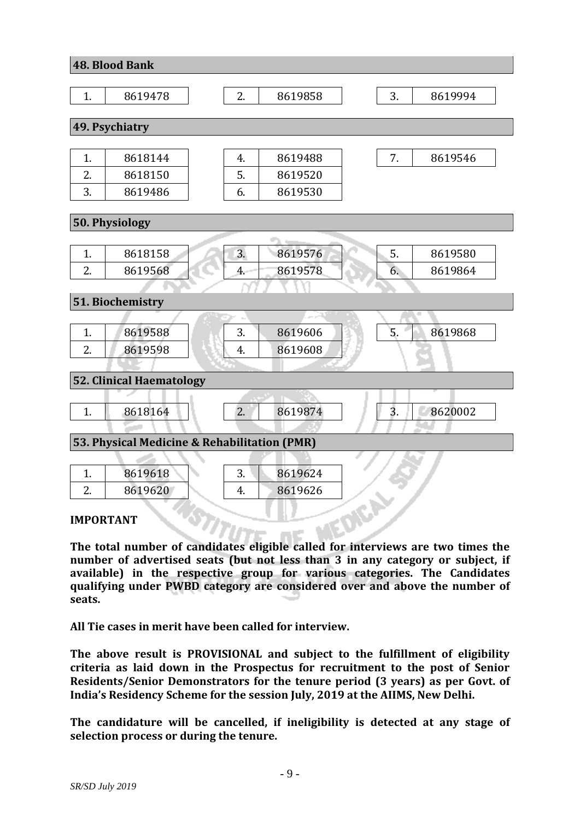|                                              | <b>48. Blood Bank</b>           |                                |  |  |
|----------------------------------------------|---------------------------------|--------------------------------|--|--|
|                                              |                                 |                                |  |  |
| 1.                                           | 8619478                         | 2.<br>3.<br>8619858<br>8619994 |  |  |
|                                              |                                 |                                |  |  |
|                                              | 49. Psychiatry                  |                                |  |  |
|                                              |                                 |                                |  |  |
| 1.                                           | 8618144                         | 7.<br>8619546<br>4.<br>8619488 |  |  |
| 2.                                           | 8618150                         | 5.<br>8619520                  |  |  |
| 3.                                           | 8619486                         | 8619530<br>6.                  |  |  |
|                                              | 50. Physiology                  |                                |  |  |
|                                              |                                 |                                |  |  |
| 1.                                           | 8618158                         | 5.<br>3.<br>8619576<br>8619580 |  |  |
| 2.                                           | 8619568                         | 8619578<br>4.<br>8619864<br>6. |  |  |
|                                              |                                 |                                |  |  |
|                                              | 51. Biochemistry                |                                |  |  |
|                                              |                                 |                                |  |  |
| 1.                                           | 8619588                         | 5.<br>3.<br>8619606<br>8619868 |  |  |
| 2.                                           | 8619598                         | 4.<br>8619608                  |  |  |
|                                              |                                 |                                |  |  |
|                                              | <b>52. Clinical Haematology</b> |                                |  |  |
|                                              |                                 |                                |  |  |
| 1.                                           | 8618164                         | 3.<br>2.<br>8619874<br>8620002 |  |  |
| 53. Physical Medicine & Rehabilitation (PMR) |                                 |                                |  |  |
|                                              |                                 |                                |  |  |
| 1.                                           | 8619618                         | 3.<br>8619624                  |  |  |
| 2.                                           | 8619620                         | 8619626<br>4.                  |  |  |
|                                              |                                 |                                |  |  |

**IMPORTANT**

**The total number of candidates eligible called for interviews are two times the number of advertised seats (but not less than 3 in any category or subject, if available) in the respective group for various categories. The Candidates qualifying under PWBD category are considered over and above the number of seats.** 

**All Tie cases in merit have been called for interview.** 

**The above result is PROVISIONAL and subject to the fulfillment of eligibility criteria as laid down in the Prospectus for recruitment to the post of Senior Residents/Senior Demonstrators for the tenure period (3 years) as per Govt. of India's Residency Scheme for the session July, 2019 at the AIIMS, New Delhi.**

**The candidature will be cancelled, if ineligibility is detected at any stage of selection process or during the tenure.**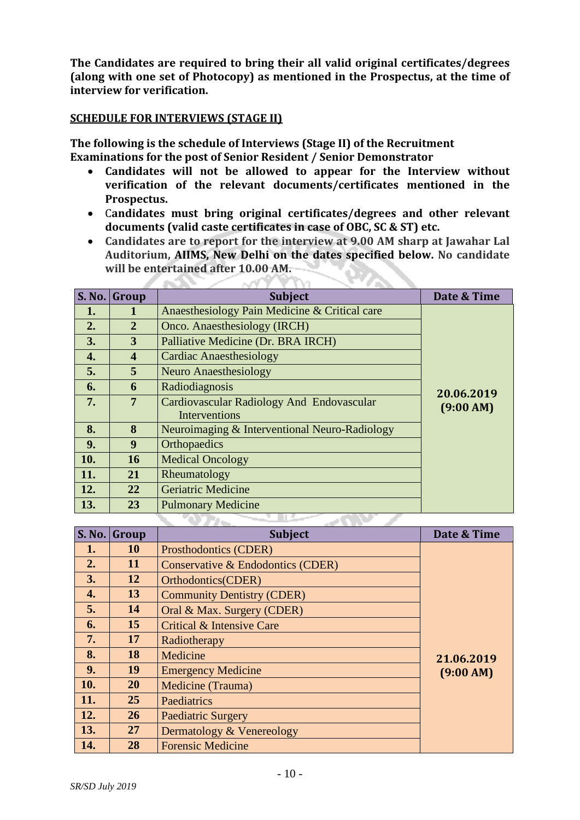**The Candidates are required to bring their all valid original certificates/degrees (along with one set of Photocopy) as mentioned in the Prospectus, at the time of interview for verification.**

#### **SCHEDULE FOR INTERVIEWS (STAGE II)**

**The following is the schedule of Interviews (Stage II) of the Recruitment Examinations for the post of Senior Resident / Senior Demonstrator**

مس

- **Candidates will not be allowed to appear for the Interview without verification of the relevant documents/certificates mentioned in the Prospectus.**
- C**andidates must bring original certificates/degrees and other relevant documents (valid caste certificates in case of OBC, SC & ST) etc.**
- **Candidates are to report for the interview at 9.00 AM sharp at Jawahar Lal Auditorium, AIIMS, New Delhi on the dates specified below. No candidate will be entertained after 10.00 AM. 97.**

| <b>S. No.</b> | Group                   | <b>Subject</b>                                                    | Date & Time |
|---------------|-------------------------|-------------------------------------------------------------------|-------------|
| 1.            |                         | Anaesthesiology Pain Medicine & Critical care                     |             |
| 2.            | 2                       | Onco. Anaesthesiology (IRCH)                                      |             |
| 3.            | 3                       | Palliative Medicine (Dr. BRA IRCH)                                |             |
| 4.            | $\overline{\mathbf{4}}$ | <b>Cardiac Anaesthesiology</b>                                    |             |
| 5.            | 5                       | <b>Neuro Anaesthesiology</b>                                      |             |
| 6.            | 6                       | Radiodiagnosis                                                    | 20.06.2019  |
| 7.            | 7                       | Cardiovascular Radiology And Endovascular<br><b>Interventions</b> | (9:00 AM)   |
| 8.            | 8                       | Neuroimaging & Interventional Neuro-Radiology                     |             |
| 9.            | 9                       | <b>Orthopaedics</b>                                               |             |
| 10.           | 16                      | <b>Medical Oncology</b>                                           |             |
| 11.           | 21                      | Rheumatology                                                      |             |
| 12.           | 22                      | <b>Geriatric Medicine</b>                                         |             |
| 13.           | 23                      | <b>Pulmonary Medicine</b>                                         |             |

| <b>S. No.</b>      | Group     | <b>Subject</b>                    | Date & Time |
|--------------------|-----------|-----------------------------------|-------------|
| 1.                 | <b>10</b> | Prosthodontics (CDER)             |             |
| 2.                 | 11        | Conservative & Endodontics (CDER) |             |
| 3.                 | 12        | Orthodontics(CDER)                |             |
| $\boldsymbol{4}$ . | 13        | <b>Community Dentistry (CDER)</b> |             |
| 5.                 | 14        | Oral & Max. Surgery (CDER)        |             |
| 6.                 | 15        | Critical & Intensive Care         |             |
| 7.                 | 17        | Radiotherapy                      |             |
| 8.                 | 18        | Medicine                          | 21.06.2019  |
| 9.                 | 19        | <b>Emergency Medicine</b>         | (9:00 AM)   |
| 10.                | <b>20</b> | Medicine (Trauma)                 |             |
| 11.                | 25        | Paediatrics                       |             |
| 12.                | 26        | <b>Paediatric Surgery</b>         |             |
| 13.                | 27        | Dermatology & Venereology         |             |
| 14.                | 28        | <b>Forensic Medicine</b>          |             |